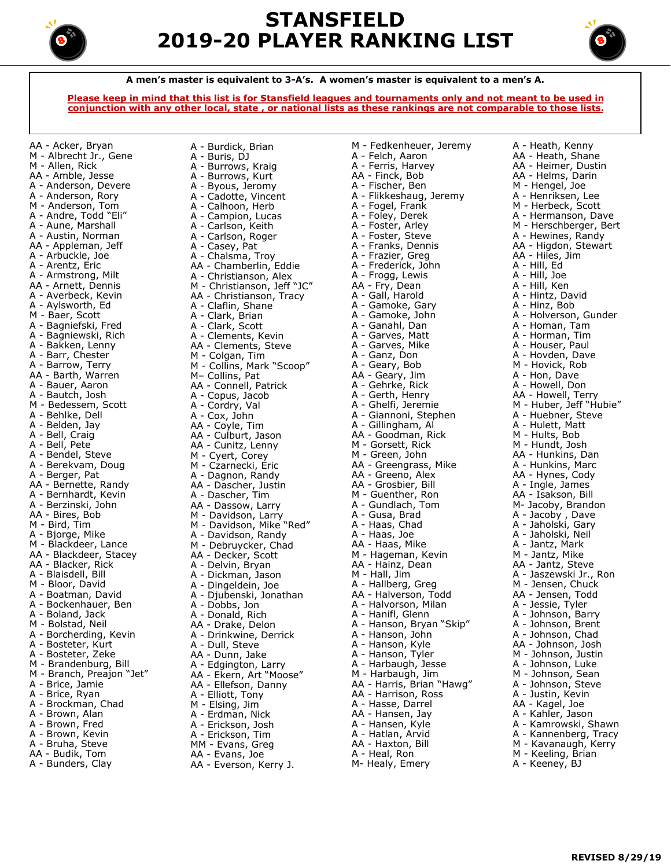

# **STANSFIELD 2019-20 PLAYER RANKING LIST**



**A men's master is equivalent to 3-A's. A women's master is equivalent to a men's A.**

**Please keep in mind that this list is for Stansfield leagues and tournaments only and not meant to be used in conjunction with any other local, state , or national lists as these rankings are not comparable to those lists.**

AA - Acker, Bryan M - Albrecht Jr., Gene M - Allen, Rick AA - Amble, Jesse A - Anderson, Devere A - Anderson, Rory M - Anderson, Tom A - Andre, Todd "Eli" A - Aune, Marshall A - Austin, Norman AA - Appleman, Jeff A - Arbuckle, Joe A - Arentz, Eric A - Armstrong, Milt AA - Arnett, Dennis A - Averbeck, Kevin A - Aylsworth, Ed M - Baer, Scott A - Bagniefski, Fred A - Bagniewski, Rich A - Bakken, Lenny A - Barr, Chester A - Barrow, Terry AA - Barth, Warren A - Bauer, Aaron A - Bautch, Josh M - Bedessem, Scott A - Behlke, Dell A - Belden, Jay A - Bell, Craig A - Bell, Pete A - Bendel, Steve A - Berekvam, Doug A - Berger, Pat AA - Bernette, Randy A - Bernhardt, Kevin A - Berzinski, John AA - Bires, Bob M - Bird, Tim A - Bjorge, Mike M - Blackdeer, Lance AA - Blackdeer, Stacey AA - Blacker, Rick A - Blaisdell, Bill M - Bloor, David A - Boatman, David A - Bockenhauer, Ben A - Boland, Jack M - Bolstad, Neil A - Borcherding, Kevin A - Bosteter, Kurt A - Bosteter, Zeke M - Brandenburg, Bill M - Branch, Preajon "Jet" A - Brice, Jamie A - Brice, Ryan A - Brockman, Chad A - Brown, Alan A - Brown, Fred A - Brown, Kevin A - Bruha, Steve AA - Budik, Tom A - Bunders, Clay

A - Buris, DJ A - Burrows, Kraig A - Burrows, Kurt A - Byous, Jeromy A - Cadotte, Vincent A - Calhoon, Herb A - Campion, Lucas A - Carlson, Keith A - Carlson, Roger A - Casey, Pat A - Chalsma, Troy AA - Chamberlin, Eddie A - Christianson, Alex M - Christianson, Jeff "JC" AA - Christianson, Tracy A - Claflin, Shane A - Clark, Brian A - Clark, Scott A - Clements, Kevin AA - Clements, Steve M - Colgan, Tim M - Collins, Mark "Scoop" M– Collins, Pat AA - Connell, Patrick A - Copus, Jacob A - Cordry, Val A - Cox, John AA - Coyle, Tim AA - Culburt, Jason AA - Cunitz, Lenny M - Cyert, Corey M - Czarnecki, Eric A - Dagnon, Randy AA - Dascher, Justin A - Dascher, Tim AA - Dassow, Larry M - Davidson, Larry M - Davidson, Mike "Red" A - Davidson, Randy M - Debruycker, Chad AA - Decker, Scott A - Delvin, Bryan A - Dickman, Jason A - Dingeldein, Joe A - Djubenski, Jonathan A - Dobbs, Jon A - Donald, Rich AA - Drake, Delon A - Drinkwine, Derrick A - Dull, Steve AA - Dunn, Jake A - Edgington, Larry AA - Ekern, Art "Moose" AA - Ellefson, Danny A - Elliott, Tony M - Elsing, Jim A - Erdman, Nick A - Erickson, Josh A - Erickson, Tim MM - Evans, Greg AA - Evans, Joe AA - Everson, Kerry J.

A - Burdick, Brian

M - Fedkenheuer, Jeremy A - Felch, Aaron A - Ferris, Harvey AA - Finck, Bob A - Fischer, Ben A - Flikkeshaug, Jeremy A - Fogel, Frank A - Foley, Derek A - Foster, Arley A - Foster, Steve A - Franks, Dennis A - Frazier, Greg A - Frederick, John A - Frogg, Lewis AA - Fry, Dean A - Gall, Harold A - Gamoke, Gary A - Gamoke, John A - Ganahl, Dan A - Garves, Matt A - Garves, Mike A - Ganz, Don A - Geary, Bob AA - Geary, Jim A - Gehrke, Rick A - Gerth, Henry A - Ghelfi, Jeremie A - Giannoni, Stephen A - Gillingham, Al AA - Goodman, Rick M - Gorsett, Rick M - Green, John AA - Greengrass, Mike AA - Greeno, Alex AA - Grosbier, Bill M - Guenther, Ron A - Gundlach, Tom A - Gusa, Brad A - Haas, Chad A - Haas, Joe AA - Haas, Mike M - Hageman, Kevin AA - Hainz, Dean M - Hall, Jim A - Hallberg, Greg AA - Halverson, Todd A - Halvorson, Milan A - Hanifl, Glenn A - Hanson, Bryan "Skip" A - Hanson, John A - Hanson, Kyle A - Hanson, Tyler A - Harbaugh, Jesse M - Harbaugh, Jim AA - Harris, Brian "Hawg" AA - Harrison, Ross A - Hasse, Darrel AA - Hansen, Jay A - Hansen, Kyle A - Hatlan, Arvid AA - Haxton, Bill A - Heal, Ron M- Healy, Emery

A - Heath, Kenny AA - Heath, Shane AA - Heimer, Dustin AA - Helms, Darin M - Hengel, Joe A - Henriksen, Lee M - Herbeck, Scott A - Hermanson, Dave M - Herschberger, Bert A - Hewines, Randy AA - Higdon, Stewart AA - Hiles, Jim A - Hill, Ed A - Hill, Joe A - Hill, Ken A - Hintz, David A - Hinz, Bob A - Holverson, Gunder A - Homan, Tam A - Horman, Tim A - Houser, Paul A - Hovden, Dave M - Hovick, Rob A - Hon, Dave A - Howell, Don AA - Howell, Terry M - Huber, Jeff "Hubie" A - Huebner, Steve A - Hulett, Matt M - Hults, Bob M - Hundt, Josh AA - Hunkins, Dan A - Hunkins, Marc AA - Hynes, Cody A - Ingle, James AA - Isakson, Bill M- Jacoby, Brandon A - Jacoby , Dave A - Jaholski, Gary A - Jaholski, Neil A - Jantz, Mark M - Jantz, Mike AA - Jantz, Steve A - Jaszewski Jr., Ron M - Jensen, Chuck AA - Jensen, Todd A - Jessie, Tyler A - Johnson, Barry A - Johnson, Brent A - Johnson, Chad AA - Johnson, Josh M - Johnson, Justin A - Johnson, Luke M - Johnson, Sean A - Johnson, Steve A - Justin, Kevin AA - Kagel, Joe A - Kahler, Jason A - Kamrowski, Shawn A - Kannenberg, Tracy M - Kavanaugh, Kerry M - Keeling, Brian A - Keeney, BJ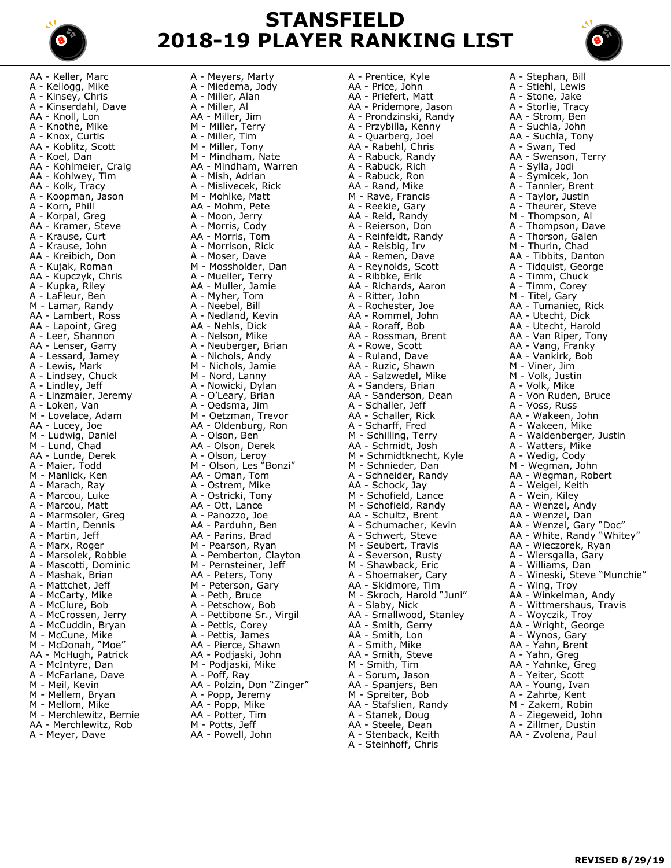

## **STANSFIELD 2018-19 PLAYER RANKING LIST**

AA - Keller, Marc A - Kellogg, Mike A - Kinsey, Chris A - Kinserdahl, Dave AA - Knoll, Lon A - Knothe, Mike A - Knox, Curtis AA - Koblitz, Scott A - Koel, Dan AA - Kohlmeier, Craig AA - Kohlwey, Tim AA - Kolk, Tracy A - Koopman, Jason A - Korn, Phill A - Korpal, Greg AA - Kramer, Steve A - Krause, Curt A - Krause, John AA - Kreibich, Don A - Kujak, Roman AA - Kupczyk, Chris A - Kupka, Riley A - LaFleur, Ben M - Lamar, Randy AA - Lambert, Ross AA - Lapoint, Greg A - Leer, Shannon AA - Lenser, Garry A - Lessard, Jamey A - Lewis, Mark A - Lindsey, Chuck A - Lindley, Jeff A - Linzmaier, Jeremy A - Loken, Van M - Lovelace, Adam AA - Lucey, Joe M - Ludwig, Daniel M - Lund, Chad AA - Lunde, Derek A - Maier, Todd M - Manlick, Ken A - Marach, Ray A - Marcou, Luke A - Marcou, Matt A - Marmsoler, Greg A - Martin, Dennis A - Martin, Jeff A - Marx, Roger A - Marsolek, Robbie A - Mascotti, Dominic A - Mashak, Brian A - Mattchet, Jeff A - McCarty, Mike A - McClure, Bob A - McCrossen, Jerry A - McCuddin, Bryan M - McCune, Mike M - McDonah, "Moe" AA - McHugh, Patrick A - McIntyre, Dan A - McFarlane, Dave M - Meil, Kevin M - Mellem, Bryan M - Mellom, Mike M - Merchlewitz, Bernie AA - Merchlewitz, Rob A - Meyer, Dave

A - Meyers, Marty A - Miedema, Jody A - Miller, Alan A - Miller, Al AA - Miller, Jim M - Miller, Terry A - Miller, Tim M - Miller, Tony M - Mindham, Nate AA - Mindham, Warren A - Mish, Adrian A - Mislivecek, Rick M - Mohlke, Matt AA - Mohm, Pete A - Moon, Jerry A - Morris, Cody AA - Morris, Tom A - Morrison, Rick A - Moser, Dave M - Mossholder, Dan A - Mueller, Terry AA - Muller, Jamie A - Myher, Tom A - Neebel, Bill A - Nedland, Kevin AA - Nehls, Dick A - Nelson, Mike A - Neuberger, Brian A - Nichols, Andy M - Nichols, Jamie M - Nord, Lanny A - Nowicki, Dylan A - O'Leary, Brian A - Oedsma, Jim M - Oetzman, Trevor AA - Oldenburg, Ron A - Olson, Ben AA - Olson, Derek A - Olson, Leroy M - Olson, Les "Bonzi" AA - Oman, Tom A - Ostrem, Mike A - Ostricki, Tony AA - Ott, Lance A - Panozzo, Joe AA - Parduhn, Ben AA - Parins, Brad M - Pearson, Ryan A - Pemberton, Clayton M - Pernsteiner, Jeff AA - Peters, Tony M - Peterson, Gary A - Peth, Bruce A - Petschow, Bob A - Pettibone Sr., Virgil A - Pettis, Corey A - Pettis, James AA - Pierce, Shawn AA - Podjaski, John M - Podjaski, Mike A - Poff, Ray AA - Polzin, Don "Zinger" A - Popp, Jeremy AA - Popp, Mike AA - Potter, Tim M - Potts, Jeff AA - Powell, John

A - Prentice, Kyle AA - Price, John AA - Priefert, Matt AA - Pridemore, Jason A - Prondzinski, Randy A - Przybilla, Kenny A - Quarberg, Joel AA - Rabehl, Chris A - Rabuck, Randy A - Rabuck, Rich A - Rabuck, Ron AA - Rand, Mike M - Rave, Francis A - Reekie, Gary AA - Reid, Randy A - Reierson, Don A - Reinfeldt, Randy AA - Reisbig, Irv AA - Remen, Dave A - Reynolds, Scott A - Ribbke, Erik AA - Richards, Aaron A - Ritter, John A - Rochester, Joe AA - Rommel, John AA - Roraff, Bob AA - Rossman, Brent A - Rowe, Scott A - Ruland, Dave AA - Ruzic, Shawn AA - Salzwedel, Mike A - Sanders, Brian AA - Sanderson, Dean A - Schaller, Jeff AA - Schaller, Rick A - Scharff, Fred M - Schilling, Terry AA - Schmidt, Josh M - Schmidtknecht, Kyle M - Schnieder, Dan A - Schneider, Randy AA - Schock, Jay M - Schofield, Lance M - Schofield, Randy AA - Schultz, Brent A - Schumacher, Kevin A - Schwert, Steve M - Seubert, Travis A - Severson, Rusty M - Shawback, Eric A - Shoemaker, Cary AA - Skidmore, Tim M - Skroch, Harold "Juni" A - Slaby, Nick AA - Smallwood, Stanley AA - Smith, Gerry AA - Smith, Lon A - Smith, Mike AA - Smith, Steve M - Smith, Tim A - Sorum, Jason AA - Spanjers, Ben M - Spreiter, Bob AA - Stafslien, Randy A - Stanek, Doug AA - Steele, Dean A - Stenback, Keith A - Steinhoff, Chris

A - Stephan, Bill A - Stiehl, Lewis A - Stone, Jake A - Storlie, Tracy AA - Strom, Ben A - Suchla, John AA - Suchla, Tony A - Swan, Ted AA - Swenson, Terry A - Sylla, Jodi A - Symicek, Jon A - Tannler, Brent A - Taylor, Justin A - Theurer, Steve M - Thompson, Al A - Thompson, Dave A - Thorson, Galen M - Thurin, Chad AA - Tibbits, Danton A - Tidquist, George A - Timm, Chuck A - Timm, Corey M - Titel, Gary AA - Tumaniec, Rick AA - Utecht, Dick AA - Utecht, Harold AA - Van Riper, Tony AA - Vang, Franky AA - Vankirk, Bob M - Viner, Jim M - Volk, Justin A - Volk, Mike A - Von Ruden, Bruce A - Voss, Russ AA - Wakeen, John A - Wakeen, Mike A - Waldenberger, Justin A - Watters, Mike A - Wedig, Cody M - Wegman, John AA - Wegman, Robert A - Weigel, Keith A - Wein, Kiley AA - Wenzel, Andy AA - Wenzel, Dan AA - Wenzel, Gary "Doc" AA - White, Randy "Whitey" AA - Wieczorek, Ryan A - Wiersgalla, Gary A - Williams, Dan A - Wineski, Steve "Munchie" A - Wing, Troy AA - Winkelman, Andy A - Wittmershaus, Travis A - Woyczik, Troy AA - Wright, George A - Wynos, Gary AA - Yahn, Brent A - Yahn, Greg AA - Yahnke, Greg A - Yeiter, Scott AA - Young, Ivan A - Zahrte, Kent M - Zakem, Robin A - Ziegeweid, John A - Zillmer, Dustin AA - Zvolena, Paul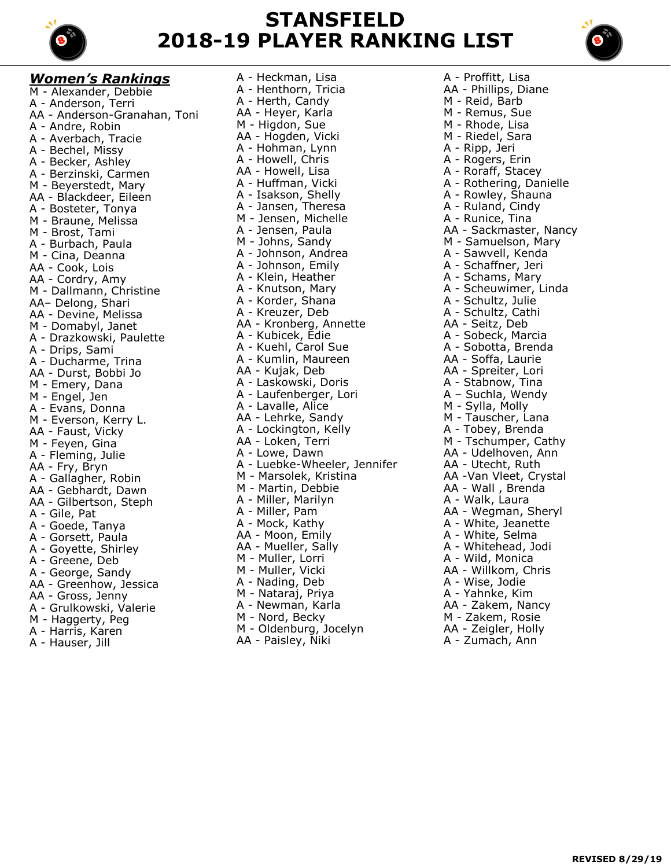

## **STANSFIELD 2018-19 PLAYER RANKING LIST**



*Women's Rankings* M - Alexander, Debbie A - Anderson, Terri AA - Anderson-Granahan, Toni A - Andre, Robin A - Averbach, Tracie A - Bechel, Missy A - Becker, Ashley A - Berzinski, Carmen M - Beyerstedt, Mary AA - Blackdeer, Eileen A - Bosteter, Tonya M - Braune, Melissa M - Brost, Tami A - Burbach, Paula M - Cina, Deanna AA - Cook, Lois AA - Cordry, Amy M - Dallmann, Christine AA– Delong, Shari AA - Devine, Melissa M - Domabyl, Janet A - Drazkowski, Paulette A - Drips, Sami A - Ducharme, Trina AA - Durst, Bobbi Jo M - Emery, Dana M - Engel, Jen A - Evans, Donna M - Everson, Kerry L. AA - Faust, Vicky M - Feyen, Gina A - Fleming, Julie AA - Fry, Bryn A - Gallagher, Robin AA - Gebhardt, Dawn AA - Gilbertson, Steph A - Gile, Pat A - Goede, Tanya A - Gorsett, Paula A - Goyette, Shirley A - Greene, Deb A - George, Sandy AA - Greenhow, Jessica AA - Gross, Jenny A - Grulkowski, Valerie M - Haggerty, Peg A - Harris, Karen

A - Hauser, Jill

A - Heckman, Lisa A - Henthorn, Tricia A - Herth, Candy AA - Heyer, Karla M - Higdon, Sue AA - Hogden, Vicki A - Hohman, Lynn A - Howell, Chris AA - Howell, Lisa A - Huffman, Vicki A - Isakson, Shelly A - Jansen, Theresa M - Jensen, Michelle A - Jensen, Paula M - Johns, Sandy A - Johnson, Andrea A - Johnson, Emily A - Klein, Heather A - Knutson, Mary A - Korder, Shana A - Kreuzer, Deb AA - Kronberg, Annette A - Kubicek, Edie A - Kuehl, Carol Sue A - Kumlin, Maureen AA - Kujak, Deb A - Laskowski, Doris A - Laufenberger, Lori A - Lavalle, Alice AA - Lehrke, Sandy A - Lockington, Kelly AA - Loken, Terri A - Lowe, Dawn A - Luebke-Wheeler, Jennifer M - Marsolek, Kristina M - Martin, Debbie A - Miller, Marilyn A - Miller, Pam A - Mock, Kathy AA - Moon, Emily AA - Mueller, Sally M - Muller, Lorri M - Muller, Vicki A - Nading, Deb M - Nataraj, Priya A - Newman, Karla M - Nord, Becky M - Oldenburg, Jocelyn AA - Paisley, Niki

A - Proffitt, Lisa AA - Phillips, Diane M - Reid, Barb M - Remus, Sue M - Rhode, Lisa M - Riedel, Sara A - Ripp, Jeri A - Rogers, Erin A - Roraff, Stacey A - Rothering, Danielle A - Rowley, Shauna A - Ruland, Cindy A - Runice, Tina AA - Sackmaster, Nancy M - Samuelson, Mary A - Sawvell, Kenda A - Schaffner, Jeri A - Schams, Mary A - Scheuwimer, Linda A - Schultz, Julie A - Schultz, Cathi AA - Seitz, Deb A - Sobeck, Marcia A - Sobotta, Brenda AA - Soffa, Laurie AA - Spreiter, Lori A - Stabnow, Tina A – Suchla, Wendy M - Sylla, Molly M - Tauscher, Lana A - Tobey, Brenda M - Tschumper, Cathy AA - Udelhoven, Ann AA - Utecht, Ruth AA -Van Vleet, Crystal AA - Wall , Brenda A - Walk, Laura AA - Wegman, Sheryl A - White, Jeanette A - White, Selma A - Whitehead, Jodi A - Wild, Monica AA - Willkom, Chris A - Wise, Jodie A - Yahnke, Kim AA - Zakem, Nancy M - Zakem, Rosie AA - Zeigler, Holly A - Zumach, Ann